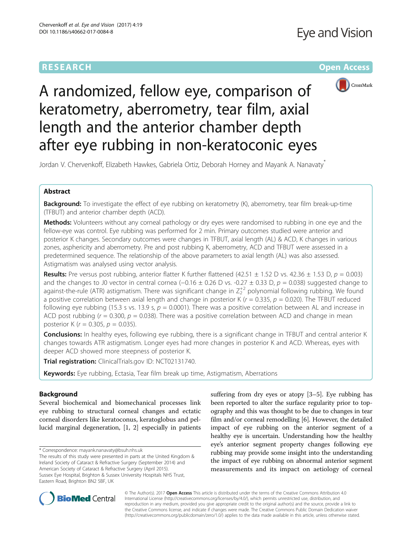# **RESEARCH CHE Open Access**



A randomized, fellow eye, comparison of keratometry, aberrometry, tear film, axial length and the anterior chamber depth after eye rubbing in non-keratoconic eyes

Jordan V. Chervenkoff, Elizabeth Hawkes, Gabriela Ortiz, Deborah Horney and Mayank A. Nanavaty\*

## Abstract

Background: To investigate the effect of eye rubbing on keratometry (K), aberrometry, tear film break-up-time (TFBUT) and anterior chamber depth (ACD).

Methods: Volunteers without any corneal pathology or dry eyes were randomised to rubbing in one eye and the fellow-eye was control. Eye rubbing was performed for 2 min. Primary outcomes studied were anterior and posterior K changes. Secondary outcomes were changes in TFBUT, axial length (AL) & ACD, K changes in various zones, asphericity and aberrometry. Pre and post rubbing K, aberrometry, ACD and TFBUT were assessed in a predetermined sequence. The relationship of the above parameters to axial length (AL) was also assessed. Astigmatism was analysed using vector analysis.

Results: Pre versus post rubbing, anterior flatter K further flattened (42.51  $\pm$  1.52 D vs. 42.36  $\pm$  1.53 D,  $p = 0.003$ ) and the changes to J0 vector in central cornea (-0.16  $\pm$  0.26 D vs. -0.27  $\pm$  0.33 D,  $p = 0.038$ ) suggested change to against-the-rule (ATR) astigmatism. There was significant change in  $Z_2^{\pm 2}$  polynomial following rubbing. We found a positive correlation between axial length and change in posterior K ( $r = 0.335$ ,  $p = 0.020$ ). The TFBUT reduced following eye rubbing (15.3 s vs. 13.9 s,  $p = 0.0001$ ). There was a positive correlation between AL and increase in ACD post rubbing  $(r = 0.300, p = 0.038)$ . There was a positive correlation between ACD and change in mean posterior K ( $r = 0.305$ ,  $p = 0.035$ ).

**Conclusions:** In healthy eyes, following eye rubbing, there is a significant change in TFBUT and central anterior K changes towards ATR astigmatism. Longer eyes had more changes in posterior K and ACD. Whereas, eyes with deeper ACD showed more steepness of posterior K.

Trial registration: ClinicalTrials.gov ID: [NCT02131740.](https://clinicaltrials.gov/ct2/show/NCT02131740)

Keywords: Eye rubbing, Ectasia, Tear film break up time, Astigmatism, Aberrations

## Background

Several biochemical and biomechanical processes link eye rubbing to structural corneal changes and ectatic corneal disorders like keratoconus, keratoglobus and pellucid marginal degeneration, [\[1](#page-6-0), [2](#page-6-0)] especially in patients

\* Correspondence: [mayank.nanavaty@bsuh.nhs.uk](mailto:mayank.nanavaty@bsuh.nhs.uk)

The results of this study were presented in parts at the United Kingdom & Ireland Society of Cataract & Refractive Surgery (September 2014) and American Society of Cataract & Refractive Surgery (April 2015). Sussex Eye Hospital, Brighton & Sussex University Hospitals NHS Trust, Eastern Road, Brighton BN2 5BF, UK

suffering from dry eyes or atopy [[3](#page-6-0)–[5](#page-6-0)]. Eye rubbing has been reported to alter the surface regularity prior to topography and this was thought to be due to changes in tear film and/or corneal remodelling [\[6\]](#page-6-0). However, the detailed impact of eye rubbing on the anterior segment of a healthy eye is uncertain. Understanding how the healthy eye's anterior segment property changes following eye rubbing may provide some insight into the understanding the impact of eye rubbing on abnormal anterior segment measurements and its impact on aetiology of corneal



© The Author(s). 2017 Open Access This article is distributed under the terms of the Creative Commons Attribution 4.0 International License [\(http://creativecommons.org/licenses/by/4.0/](http://creativecommons.org/licenses/by/4.0/)), which permits unrestricted use, distribution, and reproduction in any medium, provided you give appropriate credit to the original author(s) and the source, provide a link to the Creative Commons license, and indicate if changes were made. The Creative Commons Public Domain Dedication waiver [\(http://creativecommons.org/publicdomain/zero/1.0/](http://creativecommons.org/publicdomain/zero/1.0/)) applies to the data made available in this article, unless otherwise stated.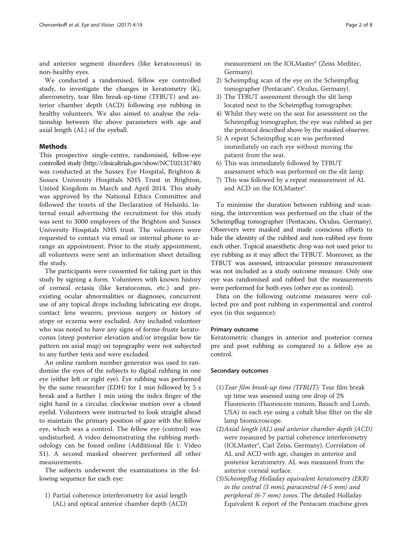and anterior segment disorders (like keratoconus) in non-healthy eyes.

We conducted a randomised, fellow eye controlled study, to investigate the changes in keratometry (K), aberrometry, tear film break-up-time (TFBUT) and anterior chamber depth (ACD) following eye rubbing in healthy volunteers. We also aimed to analyse the relationship between the above parameters with age and axial length (AL) of the eyeball.

## Methods

This prospective single-centre, randomised, fellow-eye controlled study [\(http://clinicaltrials.gov/show/NCT02131740](http://clinicaltrials.gov/show/NCT02131740)) was conducted at the Sussex Eye Hospital, Brighton & Sussex University Hospitals NHS Trust in Brighton, United Kingdom in March and April 2014. This study was approved by the National Ethics Committee and followed the tenets of the Declaration of Helsinki. Internal email advertising the recruitment for this study was sent to 3000 employees of the Brighton and Sussex University Hospitals NHS trust. The volunteers were requested to contact via email or internal phone to arrange an appointment. Prior to the study appointment, all volunteers were sent an information sheet detailing the study.

The participants were consented for taking part in this study by signing a form. Volunteers with known history of corneal ectasia (like keratoconus, etc.) and preexisting ocular abnormalities or diagnoses, concurrent use of any topical drops including lubricating eye drops, contact lens wearers, previous surgery or history of atopy or eczema were excluded. Any included volunteer who was noted to have any signs of forme-fruste keratoconus (steep posterior elevation and/or irregular bow tie pattern on axial map) on topography were not subjected to any further tests and were excluded.

An online random number generator was used to randomise the eyes of the subjects to digital rubbing in one eye (either left or right eye). Eye rubbing was performed by the same researcher (EDH) for 1 min followed by 5 s break and a further 1 min using the index finger of the right hand in a circular, clockwise motion over a closed eyelid. Volunteers were instructed to look straight ahead to maintain the primary position of gaze with the fellow eye, which was a control. The fellow eye (control) was undisturbed. A video demonstrating the rubbing methodology can be found online (Additional file [1:](#page-6-0) Video S1). A second masked observer performed all other measurements.

The subjects underwent the examinations in the following sequence for each eye:

1) Partial coherence interferometry for axial length (AL) and optical anterior chamber depth (ACD) measurement on the IOLMaster® (Zeiss Meditec, Germany).

- 2) Scheimpflug scan of the eye on the Scheimpflug tomographer (Pentacam®, Oculus, Germany).
- 3) The TFBUT assessment through the slit lamp located next to the Scheimpflug tomographer.
- 4) Whilst they were on the seat for assessment on the Scheimpflug tomographer, the eye was rubbed as per the protocol described above by the masked observer.
- 5) A repeat Scheimpflug scan was performed immediately on each eye without moving the patient from the seat.
- 6) This was immediately followed by TFBUT assessment which was performed on the slit lamp.
- 7) This was followed by a repeat measurement of AL and ACD on the IOLMaster®.

To minimise the duration between rubbing and scanning, the intervention was performed on the chair of the Scheimpflug tomographer (Pentacam, Oculus, Germany). Observers were masked and made conscious efforts to hide the identity of the rubbed and non-rubbed eye from each other. Topical anaesthetic drop was not used prior to eye rubbing as it may affect the TFBUT. Moreover, as the TFBUT was assessed, intraocular pressure measurement was not included as a study outcome measure. Only one eye was randomised and rubbed but the measurements were performed for both eyes (other eye as control).

Data on the following outcome measures were collected pre and post rubbing in experimental and control eyes (in this sequence):

## Primary outcome

Keratometric changes in anterior and posterior cornea pre and post rubbing as compared to a fellow eye as control.

### Secondary outcomes

- (1)Tear film break-up time (TFBUT): Tear film break up time was assessed using one drop of 2% Fluorescein (Fluorescein minims, Bausch and Lomb, USA) in each eye using a cobalt blue filter on the slit lamp biomicroscope.
- (2)Axial length (AL) and anterior chamber depth (ACD) were measured by partial coherence interferometry (IOLMaster®, Carl Zeiss, Germany). Correlation of AL and ACD with age, changes in anterior and posterior keratometry. AL was measured from the anterior corneal surface.
- (3)Scheimpflug Holladay equivalent keratometry (EKR) in the central (3 mm), paracentral (4-5 mm) and peripheral (6-7 mm) zones. The detailed Holladay Equivalent K report of the Pentacam machine gives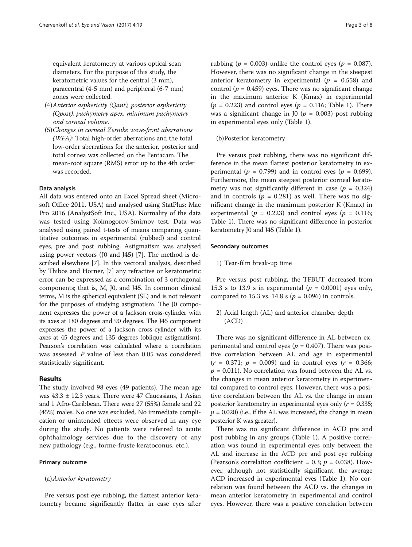equivalent keratometry at various optical scan diameters. For the purpose of this study, the keratometric values for the central (3 mm), paracentral (4-5 mm) and peripheral (6-7 mm) zones were collected.

- (4)Anterior asphericity (Qant), posterior asphericity (Qpost), pachymetry apex, minimum pachymetry and corneal volume.
- (5)Changes in corneal Zernike wave-front aberrations (WFA): Total high-order aberrations and the total low-order aberrations for the anterior, posterior and total cornea was collected on the Pentacam. The mean-root square (RMS) error up to the 4th order was recorded.

## Data analysis

All data was entered onto an Excel Spread sheet (Microsoft Office 2011, USA) and analysed using StatPlus: Mac Pro 2016 (AnalystSoft Inc., USA). Normality of the data was tested using Kolmogorov-Smirnov test. Data was analysed using paired t-tests of means comparing quantitative outcomes in experimental (rubbed) and control eyes, pre and post rubbing. Astigmatism was analysed using power vectors (J0 and J45) [[7](#page-6-0)]. The method is described elsewhere [\[7](#page-6-0)]. In this vectoral analysis, described by Thibos and Horner, [[7\]](#page-6-0) any refractive or keratometric error can be expressed as a combination of 3 orthogonal components; that is, M, J0, and J45. In common clinical terms, M is the spherical equivalent (SE) and is not relevant for the purposes of studying astigmatism. The J0 component expresses the power of a Jackson cross-cylinder with its axes at 180 degrees and 90 degrees. The J45 component expresses the power of a Jackson cross-cylinder with its axes at 45 degrees and 135 degrees (oblique astigmatism). Pearson's correlation was calculated where a correlation was assessed. P value of less than 0.05 was considered statistically significant.

## Results

The study involved 98 eyes (49 patients). The mean age was 43.3 ± 12.3 years. There were 47 Caucasians, 1 Asian and 1 Afro-Caribbean. There were 27 (55%) female and 22 (45%) males. No one was excluded. No immediate complication or unintended effects were observed in any eye during the study. No patients were referred to acute ophthalmology services due to the discovery of any new pathology (e.g., forme-fruste keratoconus, etc.).

## Primary outcome

## (a)Anterior keratometry

Pre versus post eye rubbing, the flattest anterior keratometry became significantly flatter in case eyes after

rubbing ( $p = 0.003$ ) unlike the control eyes ( $p = 0.087$ ). However, there was no significant change in the steepest anterior keratometry in experimental ( $p = 0.558$ ) and control ( $p = 0.459$ ) eyes. There was no significant change in the maximum anterior K (Kmax) in experimental  $(p = 0.223)$  and control eyes  $(p = 0.116;$  Table [1](#page-3-0)). There was a significant change in J0 ( $p = 0.003$ ) post rubbing in experimental eyes only (Table [1](#page-3-0)).

## (b)Posterior keratometry

Pre versus post rubbing, there was no significant difference in the mean flattest posterior keratometry in experimental ( $p = 0.799$ ) and in control eyes ( $p = 0.699$ ). Furthermore, the mean steepest posterior corneal keratometry was not significantly different in case ( $p = 0.324$ ) and in controls ( $p = 0.281$ ) as well. There was no significant change in the maximum posterior K (Kmax) in experimental ( $p = 0.223$ ) and control eyes ( $p = 0.116$ ; Table [1\)](#page-3-0). There was no significant difference in posterior keratometry J0 and J45 (Table [1](#page-3-0)).

## Secondary outcomes

## 1) Tear-film break-up time

Pre versus post rubbing, the TFBUT decreased from 15.3 s to 13.9 s in experimental ( $p = 0.0001$ ) eyes only, compared to 15.3 vs. 14.8 s ( $p = 0.096$ ) in controls.

## 2) Axial length (AL) and anterior chamber depth (ACD)

There was no significant difference in AL between experimental and control eyes ( $p = 0.407$ ). There was positive correlation between AL and age in experimental  $(r = 0.371; p = 0.009)$  and in control eyes  $(r = 0.366;$  $p = 0.011$ ). No correlation was found between the AL vs. the changes in mean anterior keratometry in experimental compared to control eyes. However, there was a positive correlation between the AL vs. the change in mean posterior keratometry in experimental eyes only ( $r = 0.335$ ;  $p = 0.020$ ) (i.e., if the AL was increased, the change in mean posterior K was greater).

There was no significant difference in ACD pre and post rubbing in any groups (Table [1](#page-3-0)). A positive correlation was found in experimental eyes only between the AL and increase in the ACD pre and post eye rubbing (Pearson's correlation coefficient = 0.3;  $p = 0.038$ ). However, although not statistically significant, the average ACD increased in experimental eyes (Table [1](#page-3-0)). No correlation was found between the ACD vs. the changes in mean anterior keratometry in experimental and control eyes. However, there was a positive correlation between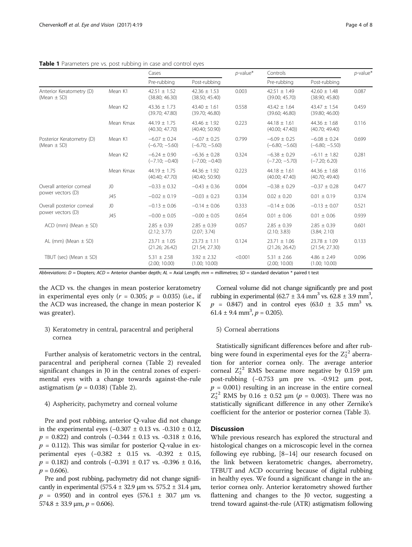<span id="page-3-0"></span>Table 1 Parameters pre vs. post rubbing in case and control eves

|                                               |           | Cases                                |                                      | $p$ -value* | Controls                             |                                      | $p$ -value* |
|-----------------------------------------------|-----------|--------------------------------------|--------------------------------------|-------------|--------------------------------------|--------------------------------------|-------------|
|                                               |           | Pre-rubbing                          | Post-rubbing                         |             | Pre-rubbing                          | Post-rubbing                         |             |
| Anterior Keratometry (D)<br>(Mean $\pm$ SD)   | Mean K1   | $42.51 \pm 1.52$<br>(38.80; 46.30)   | $42.36 \pm 1.53$<br>(38.50; 45.40)   | 0.003       | $42.51 \pm 1.49$<br>(39.00; 45.70)   | $42.60 \pm 1.48$<br>(38.90; 45.80)   | 0.087       |
|                                               | Mean K2   | $43.36 \pm 1.73$<br>(39.70; 47.80)   | $43.40 \pm 1.61$<br>(39.70; 46.80)   | 0.558       | $43.42 \pm 1.64$<br>(39.60; 46.80)   | $43.47 \pm 1.54$<br>(39.80; 46.00)   | 0.459       |
|                                               | Mean Kmax | $44.19 \pm 1.75$<br>(40.30; 47.70)   | $43.46 \pm 1.92$<br>(40.40; 50.90)   | 0.223       | $44.18 \pm 1.61$<br>(40.00; 47.40)   | $44.36 \pm 1.68$<br>(40.70; 49.40)   | 0.116       |
| Posterior Keratometry (D)<br>(Mean $\pm$ SD)  | Mean K1   | $-6.07 \pm 0.24$<br>$(-6.70; -5.60)$ | $-6.07 \pm 0.25$<br>$(-6.70; -5.60)$ | 0.799       | $-6.09 \pm 0.25$<br>$(-6.80; -5.60)$ | $-6.08 \pm 0.24$<br>$(-6.80; -5.50)$ | 0.699       |
|                                               | Mean K2   | $-6.24 \pm 0.90$<br>$(-7.10; -0.40)$ | $-6.36 \pm 0.28$<br>$(-7.00; -0.40)$ | 0.324       | $-6.38 \pm 0.29$<br>$(-7.20; -5.70)$ | $-6.11 \pm 1.82$<br>$(-7.20; 6.20)$  | 0.281       |
|                                               | Mean Kmax | $44.19 \pm 1.75$<br>(40.40: 47.70)   | $44.36 \pm 1.92$<br>(40.40; 50.90)   | 0.223       | $44.18 \pm 1.61$<br>(40.00; 47.40)   | $44.36 \pm 1.68$<br>(40.70; 49.40)   | 0.116       |
| Overall anterior corneal<br>power vectors (D) | J0        | $-0.33 \pm 0.32$                     | $-0.43 \pm 0.36$                     | 0.004       | $-0.38 \pm 0.29$                     | $-0.37 \pm 0.28$                     | 0.477       |
|                                               | J45       | $-0.02 \pm 0.19$                     | $-0.03 \pm 0.23$                     | 0.334       | $0.02 \pm 0.20$                      | $0.01 \pm 0.19$<br>$-0.13 \pm 0.07$  | 0.374       |
| Overall posterior corneal                     | J0        | $-0.13 \pm 0.06$                     | $-0.14 \pm 0.06$                     | 0.333       | $-0.14 \pm 0.06$                     |                                      | 0.521       |
| power vectors (D)                             | J45       | $-0.00 \pm 0.05$                     | $-0.00 \pm 0.05$                     | 0.654       | $0.01 \pm 0.06$                      | $0.01 \pm 0.06$                      | 0.939       |
| $ACD$ (mm) (Mean $\pm$ SD)                    |           | $2.85 \pm 0.39$<br>(2.12; 3.77)      | $2.85 \pm 0.39$<br>(2.07; 3.74)      | 0.057       | $2.85 \pm 0.39$<br>(2.10; 3.83)      | $2.85 \pm 0.39$<br>(3.84; 2.10)      | 0.601       |
| AL (mm) (Mean $\pm$ SD)                       |           | $23.71 \pm 1.05$<br>(21.26; 26.42)   | $23.73 \pm 1.11$<br>(21.54; 27.30)   | 0.124       | $23.71 \pm 1.06$<br>(21.26; 26.42)   | $23.78 \pm 1.09$<br>(21.54; 27.30)   | 0.133       |
| TBUT (sec) (Mean $\pm$ SD)                    |           | $5.31 \pm 2.58$<br>(2.00; 10.00)     | $3.92 \pm 2.32$<br>(1.00; 10.00)     | < 0.001     | $5.31 \pm 2.66$<br>(2.00; 10.00)     | $4.86 \pm 2.49$<br>(1.00; 10.00)     | 0.096       |

Abbreviations:  $D =$  Diopters;  $ACD =$  Anterior chamber depth;  $AL =$  Axial Length;  $mm =$  millimetres;  $SD =$  standard deviation  $*$  paired t test

the ACD vs. the changes in mean posterior keratometry in experimental eyes only ( $r = 0.305$ ;  $p = 0.035$ ) (i.e., if the ACD was increased, the change in mean posterior K was greater).

3) Keratometry in central, paracentral and peripheral cornea

Further analysis of keratometric vectors in the central, paracentral and peripheral cornea (Table [2](#page-4-0)) revealed significant changes in J0 in the central zones of experimental eyes with a change towards against-the-rule astigmatism ( $p = 0.038$ ) (Table [2](#page-4-0)).

## 4) Asphericity, pachymetry and corneal volume

Pre and post rubbing, anterior Q-value did not change in the experimental eyes (−0.307 ± 0.13 vs. -0.310 ± 0.12,  $p = 0.822$ ) and controls (-0.344 ± 0.13 vs. -0.318 ± 0.16,  $p = 0.112$ ). This was similar for posterior Q-value in experimental eyes (−0.382 ± 0.15 vs. -0.392 ± 0.15,  $p = 0.182$ ) and controls  $(-0.391 \pm 0.17 \text{ vs. } -0.396 \pm 0.16,$  $p = 0.606$ .

Pre and post rubbing, pachymetry did not change significantly in experimental (575.4  $\pm$  32.9 µm vs. 575.2  $\pm$  31.4 µm,  $p = 0.950$ ) and in control eyes (576.1  $\pm$  30.7 µm vs.  $574.8 \pm 33.9 \,\mu \text{m}, p = 0.606$ ).

Corneal volume did not change significantly pre and post rubbing in experimental (62.7  $\pm$  3.4 mm<sup>3</sup> vs. 62.8  $\pm$  3.9 mm<sup>3</sup>,  $p = 0.847$  and in control eyes (63.0  $\pm$  3.5 mm<sup>3</sup> vs.  $61.4 \pm 9.4$  mm<sup>3</sup>,  $p = 0.205$ ).

## 5) Corneal aberrations

Statistically significant differences before and after rubbing were found in experimental eyes for the  $Z_2^{+2}$  aberration for anterior cornea only. The average anterior corneal  $Z_2^{+2}$  RMS became more negative by 0.159  $\mu$ m post-rubbing (−0.753 μm pre vs. -0.912 μm post,  $p = 0.001$ ) resulting in an increase in the entire corneal  $Z_2^{+2}$  RMS by 0.16  $\pm$  0.52 μm (*p* = 0.003). There was no statistically significant difference in any other Zernike's coefficient for the anterior or posterior cornea (Table [3\)](#page-5-0).

## **Discussion**

While previous research has explored the structural and histological changes on a microscopic level in the cornea following eye rubbing, [[8](#page-6-0)–[14](#page-6-0)] our research focused on the link between keratometric changes, aberrometry, TFBUT and ACD occurring because of digital rubbing in healthy eyes. We found a significant change in the anterior cornea only. Anterior keratometry showed further flattening and changes to the J0 vector, suggesting a trend toward against-the-rule (ATR) astigmatism following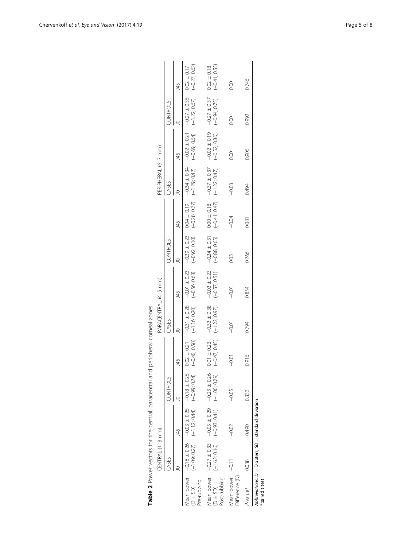|                                        | CENTRAL (1-3 mm)                             |                                                          |                                     |                                    | PARACENTRAL (4–5 mm)                |                                                                                |                                     |                                    | PERIPHERAL (6-7 mm)                                                             |                                     |                                     |                                    |
|----------------------------------------|----------------------------------------------|----------------------------------------------------------|-------------------------------------|------------------------------------|-------------------------------------|--------------------------------------------------------------------------------|-------------------------------------|------------------------------------|---------------------------------------------------------------------------------|-------------------------------------|-------------------------------------|------------------------------------|
|                                        | JASES                                        |                                                          | CONTROLS                            |                                    | CASES                               |                                                                                | CONTROLS                            |                                    | CASES                                                                           |                                     | CONTROLS                            |                                    |
|                                        |                                              |                                                          |                                     | 45                                 |                                     |                                                                                |                                     | 45                                 |                                                                                 | 145                                 |                                     | 45                                 |
| re-rubbing<br>$D \pm SD$               | Nean power $-0.16 \pm 0.26$ $-0.03 \pm 0.25$ | (4Z0 :660—) ( 440 :Z l l ―) ( LZ0 :601—l                 | $-0.18 \pm 0.25$                    | $0.02 \pm 0.21$                    | $-0.31 \pm 0.28$                    | $(-0.40; 0.56; 0.50)$ $(-1.16; 0.20)$ $(0.50; 0.56; 0.56)$<br>$-0.01 \pm 0.23$ | $(-0.92; 0.10)$<br>$-0.29 \pm 0.23$ | $0.04 \pm 0.19$                    | $(-0.28; 0.77)$ $(-1.29; 0.42)$ $(-0.69; 0.64)$ $(-1.22; 0.67)$ $(-0.27; 0.62)$ | $-0.34 \pm 0.34$ $-0.02 \pm 0.21$   | $-0.27 \pm 0.35$                    | $0.02 \pm 0.17$                    |
| lean power<br>paiddu-izc<br>$D \pm SD$ | $(-1.62; 0.16)$                              | $-0.27 \pm 0.33$ $-0.05 \pm 0.29$<br>$(-0.93; 0.41)$     | $-0.23 \pm 0.26$<br>$(-1.00; 0.29)$ | $0.01 \pm 0.23$<br>$(-0.47; 0.45)$ | $(-1.22; 0.97)$<br>$-0.32 \pm 0.38$ | $(-0.57; 0.51)$<br>$-0.02 \pm 0.23$                                            | $-0.24 \pm 0.31$<br>$(-0.88; 0.65)$ | $(-0.41; 0.47)$<br>$0.00 \pm 0.18$ | $-0.37 \pm 0.37$<br>$(-1.22; 0.47)$                                             | $(-0.52; 0.30)$<br>$-0.02 \pm 0.19$ | $-0.27 \pm 0.37$<br>$(-0.94; 0.75)$ | $(-0.41; 0.55)$<br>$0.02 \pm 0.18$ |
| $Mean power -0.11$<br>)ifference (D)   |                                              | $-0.02$                                                  | $-0.05$                             |                                    | $-0.01$                             | $-0.01$                                                                        | 0.05                                | $-0.04$                            | $-0.03$                                                                         | 0.00                                | 0.00                                | 0.00                               |
| *value*                                | 0.038                                        | 0.490                                                    | 0.333                               | 0.916                              | 0.794                               | 0.854                                                                          | 0.266                               | 0.081                              | 0.494                                                                           | 0.905                               | 0.992                               | 0.746                              |
|                                        |                                              | bbreviations: $D = Di$ opters; $SD =$ standard deviation |                                     |                                    |                                     |                                                                                |                                     |                                    |                                                                                 |                                     |                                     |                                    |

| $\frac{1}{2}$<br>I<br>J                             |  |
|-----------------------------------------------------|--|
| ֕<br>$\frac{1}{2}$                                  |  |
|                                                     |  |
| $\frac{5}{1}$                                       |  |
| icource lease and and and critical control on.<br>j |  |
|                                                     |  |
| $\frac{1}{2}$                                       |  |
| りょうせん こうこう<br>ļ<br>)<br>)<br>)                      |  |
| į<br>I                                              |  |
|                                                     |  |
|                                                     |  |

\*paired t test \*paired t test

<span id="page-4-0"></span>Chervenkoff et al. Eye and Vision (2017) 4:19 example 3 of 8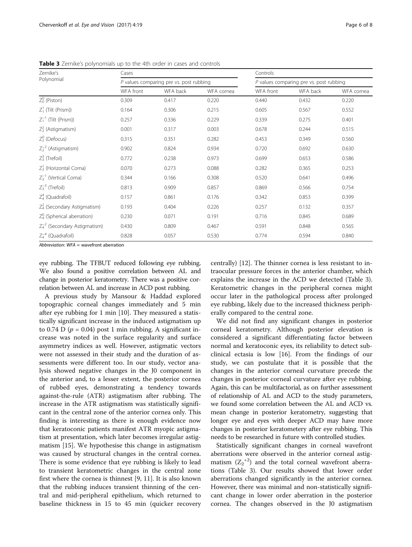<span id="page-5-0"></span>

| Table 3 Zernike's polynomials up to the 4th order in cases and controls |           |                                         |            |           |                                         |            |  |
|-------------------------------------------------------------------------|-----------|-----------------------------------------|------------|-----------|-----------------------------------------|------------|--|
| Zernike's<br>Polynomial                                                 | Cases     |                                         |            | Controls  |                                         |            |  |
|                                                                         |           | P values comparing pre vs. post rubbing |            |           | P values comparing pre vs. post rubbing |            |  |
|                                                                         | WFA front | WFA back                                | WFA cornea | WFA front | WFA back                                | WFA cornea |  |
| $Z_0^0$ (Piston)                                                        | 0.309     | 0.417                                   | 0.220      | 0.440     | 0.432                                   | 0.220      |  |
| $Z_1^1$ (Tilt (Prism))                                                  | 0.164     | 0.306                                   | 0.215      | 0.605     | 0.567                                   | 0.552      |  |
| $Z_1^{-1}$ (Tilt (Prism))                                               | 0.257     | 0.336                                   | 0.229      | 0.339     | 0.275                                   | 0.401      |  |
| $Z_2^2$ (Astigmatism)                                                   | 0.001     | 0.317                                   | 0.003      | 0.678     | 0.244                                   | 0.515      |  |
| $Z_2^0$ (Defocus)                                                       | 0.315     | 0.351                                   | 0.282      | 0.453     | 0.349                                   | 0.560      |  |
| $Z_2^{-2}$ (Astigmatism)                                                | 0.902     | 0.824                                   | 0.934      | 0.720     | 0.692                                   | 0.630      |  |
| $Z_3^3$ (Trefoil)                                                       | 0.772     | 0.238                                   | 0.973      | 0.699     | 0.653                                   | 0.586      |  |
| $Z_3^1$ (Horizontal Coma)                                               | 0.070     | 0.273                                   | 0.088      | 0.282     | 0.365                                   | 0.253      |  |
| $Z_3^{-1}$ (Vertical Coma)                                              | 0.344     | 0.166                                   | 0.308      | 0.520     | 0.641                                   | 0.496      |  |
| $Z_3^{-3}$ (Trefoil)                                                    | 0.813     | 0.909                                   | 0.857      | 0.869     | 0.566                                   | 0.754      |  |
| $Z_4^4$ (Quadrafoil)                                                    | 0.157     | 0.861                                   | 0.176      | 0.342     | 0.853                                   | 0.399      |  |

 $Z_4^2$  (Secondary Astigmatism)  $0.193$  0.404 0.226 0.257 0.132 0.357  $Z_4^0$  (Spherical aberration) and 0.230 0.071 0.191 0.716 0.845 0.689  $Z_4^{-2}$  (Secondary Astigmatism) 0.430 0.809 0.467 0.591 0.848 0.565

 $_{-4}^{4}$  (Quadrafoil)  $0.828$  0.057 0.530 0.774 0.840 0.840

 $\overline{Abbreviation: WFA = wavefront}$  aberration

Z<sup>-4</sup> (Quadrafoil)

eye rubbing. The TFBUT reduced following eye rubbing. We also found a positive correlation between AL and change in posterior keratometry. There was a positive correlation between AL and increase in ACD post rubbing.

A previous study by Mansour & Haddad explored topographic corneal changes immediately and 5 min after eye rubbing for 1 min [\[10](#page-6-0)]. They measured a statistically significant increase in the induced astigmatism up to 0.74 D ( $p = 0.04$ ) post 1 min rubbing. A significant increase was noted in the surface regularity and surface asymmetry indices as well. However, astigmatic vectors were not assessed in their study and the duration of assessments were different too. In our study, vector analysis showed negative changes in the J0 component in the anterior and, to a lesser extent, the posterior cornea of rubbed eyes, demonstrating a tendency towards against-the-rule (ATR) astigmatism after rubbing. The increase in the ATR astigmatism was statistically significant in the central zone of the anterior cornea only. This finding is interesting as there is enough evidence now that keratoconic patients manifest ATR myopic astigmatism at presentation, which later becomes irregular astigmatism [\[15](#page-6-0)]. We hypothesise this change in astigmatism was caused by structural changes in the central cornea. There is some evidence that eye rubbing is likely to lead to transient keratometric changes in the central zone first where the cornea is thinnest [[9, 11](#page-6-0)]. It is also known that the rubbing induces transient thinning of the central and mid-peripheral epithelium, which returned to baseline thickness in 15 to 45 min (quicker recovery centrally) [\[12](#page-6-0)]. The thinner cornea is less resistant to intraocular pressure forces in the anterior chamber, which explains the increase in the ACD we detected (Table 3). Keratometric changes in the peripheral cornea might occur later in the pathological process after prolonged eye rubbing, likely due to the increased thickness peripherally compared to the central zone.

We did not find any significant changes in posterior corneal keratometry. Although posterior elevation is considered a significant differentiating factor between normal and keratoconic eyes, its reliability to detect subclinical ectasia is low [[16](#page-6-0)]. From the findings of our study, we can postulate that it is possible that the changes in the anterior corneal curvature precede the changes in posterior corneal curvature after eye rubbing. Again, this can be multifactorial, as on further assessment of relationship of AL and ACD to the study parameters, we found some correlation between the AL and ACD vs. mean change in posterior keratometry, suggesting that longer eye and eyes with deeper ACD may have more changes in posterior keratometery after eye rubbing. This needs to be researched in future with controlled studies.

Statistically significant changes in corneal wavefront aberrations were observed in the anterior corneal astigmatism  $(Z_2^{+2})$  and the total corneal wavefront aberrations (Table 3). Our results showed that lower order aberrations changed significantly in the anterior cornea. However, there was minimal and non-statistically significant change in lower order aberration in the posterior cornea. The changes observed in the J0 astigmatism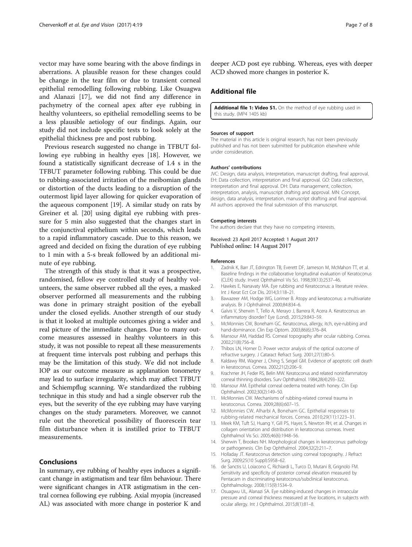<span id="page-6-0"></span>vector may have some bearing with the above findings in aberrations. A plausible reason for these changes could be change in the tear film or due to transient corneal epithelial remodelling following rubbing. Like Osuagwa and Alanazi [17], we did not find any difference in pachymetry of the corneal apex after eye rubbing in healthy volunteers, so epithelial remodelling seems to be a less plausible aetiology of our findings. Again, our study did not include specific tests to look solely at the epithelial thickness pre and post rubbing.

Previous research suggested no change in TFBUT following eye rubbing in healthy eyes [\[18](#page-7-0)]. However, we found a statistically significant decrease of 1.4 s in the TFBUT parameter following rubbing. This could be due to rubbing-associated irritation of the meibomian glands or distortion of the ducts leading to a disruption of the outermost lipid layer allowing for quicker evaporation of the aqueous component [[19\]](#page-7-0). A similar study on rats by Greiner et al. [[20\]](#page-7-0) using digital eye rubbing with pressure for 5 min also suggested that the changes start in the conjunctival epithelium within seconds, which leads to a rapid inflammatory cascade. Due to this reason, we agreed and decided on fixing the duration of eye rubbing to 1 min with a 5-s break followed by an additional minute of eye rubbing.

The strength of this study is that it was a prospective, randomised, fellow eye controlled study of healthy volunteers, the same observer rubbed all the eyes, a masked observer performed all measurements and the rubbing was done in primary straight position of the eyeball under the closed eyelids. Another strength of our study is that it looked at multiple outcomes giving a wider and real picture of the immediate changes. Due to many outcome measures assessed in healthy volunteers in this study, it was not possible to repeat all these measurements at frequent time intervals post rubbing and perhaps this may be the limitation of this study. We did not include IOP as our outcome measure as applanation tonometry may lead to surface irregularity, which may affect TFBUT and Schiempflug scanning. We standardized the rubbing technique in this study and had a single observer rub the eyes, but the severity of the eye rubbing may have varying changes on the study parameters. Moreover, we cannot rule out the theoretical possibility of fluorescein tear film disturbance when it is instilled prior to TFBUT measurements.

## Conclusions

In summary, eye rubbing of healthy eyes induces a significant change in astigmatism and tear film behaviour. There were significant changes in ATR astigmatism in the central cornea following eye rubbing. Axial myopia (increased AL) was associated with more change in posterior K and

deeper ACD post eye rubbing. Whereas, eyes with deeper ACD showed more changes in posterior K.

## Additional file

[Additional file 1: Video S1.](dx.doi.org/10.1186/s40662-017-0084-8) On the method of eye rubbing used in this study. (MP4 1405 kb)

#### Sources of support

The material in this article is original research, has not been previously published and has not been submitted for publication elsewhere while under consideration.

#### Authors' contributions

JVC: Design, data analysis, interpretation, manuscript drafting, final approval. EH: Data collection, interpretation and final approval. GO: Data collection, interpretation and final approval. DH: Data management, collection, interpretation, analysis, manuscript drafting and approval. MN: Concept, design, data analysis, interpretation, manuscript drafting and final approval. All authors approved the final submission of this manuscript.

#### Competing interests

The authors declare that they have no competing interests.

## Received: 23 April 2017 Accepted: 1 August 2017 Published online: 14 August 2017

#### References

- 1. Zadnik K, Barr JT, Edrington TB, Everett DF, Jameson M, McMahon TT, et al. Baseline findings in the collaborative longitudinal evaluation of Keratoconus (CLEK) study. Invest Ophthalmol Vis Sci. 1998;39(13):2537–46.
- 2. Hawkes E, Nanavaty MA. Eye rubbing and Keratoconus: a literature review. Int J Kerat Ect Cor Dis. 2014;3:118–21.
- 3. Bawazeer AM, Hodge WG, Lorimer B. Atopy and keratoconus: a multivariate analysis. Br J Ophthalmol. 2000;84:834–6.
- 4. Galvis V, Sherwin T, Tello A, Merayo J, Barrera R, Acera A. Keratoconus: an inflammatory disorder? Eye (Lond). 2015;29:843–59.
- 5. McMonnies CW, Boneham GC. Keratoconus, allergy, itch, eye-rubbing and hand-dominance. Clin Exp Optom. 2003;86(6):376–84.
- 6. Mansour AM, Haddad RS. Corneal topography after ocular rubbing. Cornea. 2002;21(8):756–8.
- 7. Thibos LN, Horner D. Power vector analysis of the optical outcome of refractive surgery. J Cataract Refract Surg. 2001;27(1):80–5.
- 8. Kaldawy RM, Wagner J, Ching S, Seigel GM. Evidence of apoptotic cell death in keratoconus. Cornea. 2002;21(2):206–9.
- 9. Krachmer JH, Feder RS, Belin MW. Keratoconus and related noninflammatory corneal thinning disorders. Surv Ophthalmol. 1984;28(4):293–322.
- 10. Mansour AM. Epithelial corneal oedema treated with honey. Clin Exp Ophthalmol. 2002;30(2):149–50.
- 11. McMonnies CW. Mechanisms of rubbing-related corneal trauma in keratoconus. Cornea. 2009;28(6):607–15.
- 12. McMonnies CW, Alharbi A, Boneham GC. Epithelial responses to rubbing-related mechanical forces. Cornea. 2010;29(11):1223–31.
- 13. Meek KM, Tuft SJ, Huang Y, Gill PS, Hayes S, Newton RH, et al. Changes in collagen orientation and distribution in keratoconus corneas. Invest Ophthalmol Vis Sci. 2005;46(6):1948–56.
- 14. Sherwin T, Brookes NH. Morphological changes in keratoconus: pathology or pathogenesis. Clin Exp Ophthalmol. 2004;32(2):211–7.
- 15. Holladay JT. Keratoconus detection using corneal topography. J Refract Surg. 2009;25(10 Suppl):S958–62.
- 16. de Sanctis U, Loiacono C, Richiardi L, Turco D, Mutani B, Grignolo FM. Sensitivity and specificity of posterior corneal elevation measured by Pentacam in discriminating keratoconus/subclinical keratoconus. Ophthalmology. 2008;115(9):1534–9.
- 17. Osuagwu UL, Alanazi SA. Eye rubbing-induced changes in intraocular pressure and corneal thickness measured at five locations, in subjects with ocular allergy. Int J Ophthalmol. 2015;8(1):81–8.